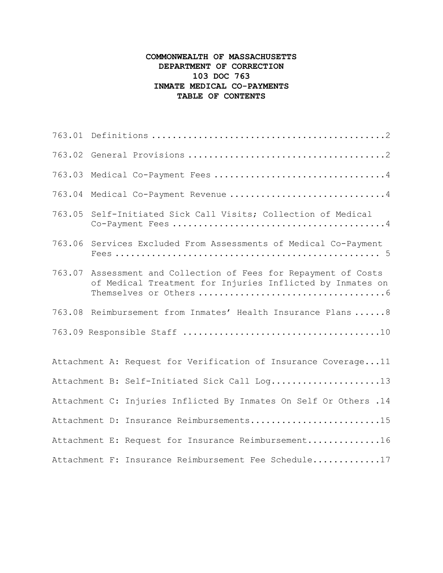## **COMMONWEALTH OF MASSACHUSETTS DEPARTMENT OF CORRECTION 103 DOC 763 INMATE MEDICAL CO-PAYMENTS TABLE OF CONTENTS**

| 763.03 | Medical Co-Payment Fees 4                                                                                             |
|--------|-----------------------------------------------------------------------------------------------------------------------|
| 763.04 | Medical Co-Payment Revenue 4                                                                                          |
| 763.05 | Self-Initiated Sick Call Visits; Collection of Medical                                                                |
| 763.06 | Services Excluded From Assessments of Medical Co-Payment                                                              |
| 763.07 | Assessment and Collection of Fees for Repayment of Costs<br>of Medical Treatment for Injuries Inflicted by Inmates on |
|        | 763.08 Reimbursement from Inmates' Health Insurance Plans  8                                                          |
|        |                                                                                                                       |
|        | Attachment A: Request for Verification of Insurance Coverage11                                                        |
|        | Attachment B: Self-Initiated Sick Call Log13                                                                          |
|        | Attachment C: Injuries Inflicted By Inmates On Self Or Others .14                                                     |
|        | Attachment D: Insurance Reimbursements15                                                                              |
|        | Attachment E: Request for Insurance Reimbursement16                                                                   |
|        | Attachment F: Insurance Reimbursement Fee Schedule17                                                                  |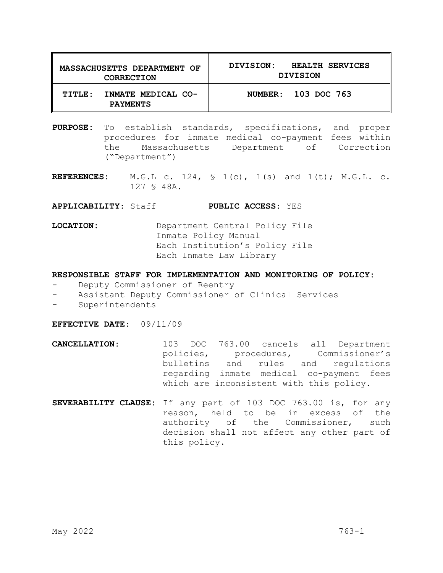| <b>MASSACHUSETTS DEPARTMENT OF</b><br><b>CORRECTION</b> | <b>HEALTH SERVICES</b><br>DIVISION:<br>DIVISION |  |  |
|---------------------------------------------------------|-------------------------------------------------|--|--|
| INMATE MEDICAL CO-<br>TITLE:<br><b>PAYMENTS</b>         | NUMBER: 103 DOC 763                             |  |  |

- **PURPOSE:** To establish standards, specifications, and proper procedures for inmate medical co-payment fees within the Massachusetts Department of Correction ("Department")
- **REFERENCES:** M.G.L c. 124, § 1(c), 1(s) and 1(t); M.G.L. c. 127 § 48A.

**APPLICABILITY**: Staff **PUBLIC ACCESS:** YES

**LOCATION:** Department Central Policy File Inmate Policy Manual Each Institution's Policy File Each Inmate Law Library

#### **RESPONSIBLE STAFF FOR IMPLEMENTATION AND MONITORING OF POLICY:**

- Deputy Commissioner of Reentry
- Assistant Deputy Commissioner of Clinical Services
- Superintendents

#### **EFFECTIVE DATE:** 09/11/09

- **CANCELLATION:** 103 DOC 763.00 cancels all Department policies, procedures, Commissioner's<br>
bulletins and rules and requlations bulletins and regarding inmate medical co-payment fees which are inconsistent with this policy.
- **SEVERABILITY CLAUSE:** If any part of 103 DOC 763.00 is, for any reason, held to be in excess of the authority of the Commissioner, such decision shall not affect any other part of this policy.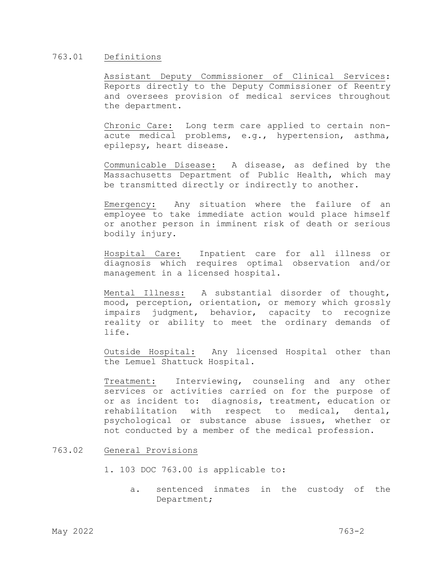### 763.01 Definitions

Assistant Deputy Commissioner of Clinical Services: Reports directly to the Deputy Commissioner of Reentry and oversees provision of medical services throughout the department.

Chronic Care: Long term care applied to certain nonacute medical problems, e.g., hypertension, asthma, epilepsy, heart disease.

Communicable Disease: A disease, as defined by the Massachusetts Department of Public Health, which may be transmitted directly or indirectly to another.

Emergency: Any situation where the failure of an employee to take immediate action would place himself or another person in imminent risk of death or serious bodily injury.

Hospital Care: Inpatient care for all illness or diagnosis which requires optimal observation and/or management in a licensed hospital.

Mental Illness: A substantial disorder of thought, mood, perception, orientation, or memory which grossly impairs judgment, behavior, capacity to recognize reality or ability to meet the ordinary demands of life.

Outside Hospital: Any licensed Hospital other than the Lemuel Shattuck Hospital.

Treatment: Interviewing, counseling and any other services or activities carried on for the purpose of or as incident to: diagnosis, treatment, education or rehabilitation with respect to medical, dental, psychological or substance abuse issues, whether or not conducted by a member of the medical profession.

### 763.02 General Provisions

- 1. 103 DOC 763.00 is applicable to:
	- a. sentenced inmates in the custody of the Department;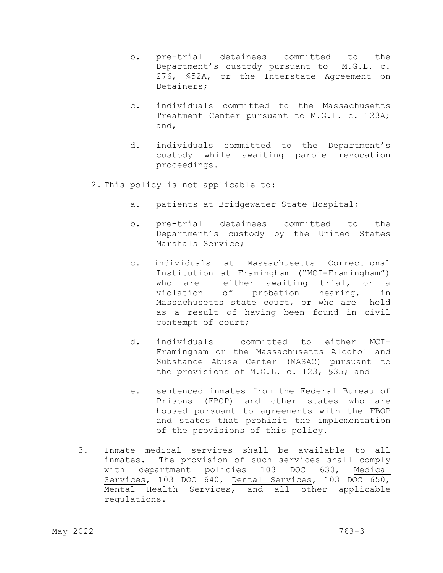- b. pre-trial detainees committed to the Department's custody pursuant to M.G.L. c. 276, §52A, or the Interstate Agreement on Detainers;
- c. individuals committed to the Massachusetts Treatment Center pursuant to M.G.L. c. 123A; and,
- d. individuals committed to the Department's custody while awaiting parole revocation proceedings.
- 2. This policy is not applicable to:
	- a. patients at Bridgewater State Hospital;
	- b. pre-trial detainees committed to the Department's custody by the United States Marshals Service;
	- c. individuals at Massachusetts Correctional Institution at Framingham ("MCI-Framingham") who are either awaiting trial, or a violation of probation hearing, in Massachusetts state court, or who are held as a result of having been found in civil contempt of court;
	- d. individuals committed to either MCI-Framingham or the Massachusetts Alcohol and Substance Abuse Center (MASAC) pursuant to the provisions of M.G.L. c. 123, §35; and
	- e. sentenced inmates from the Federal Bureau of Prisons (FBOP) and other states who are housed pursuant to agreements with the FBOP and states that prohibit the implementation of the provisions of this policy.
- 3. Inmate medical services shall be available to all inmates. The provision of such services shall comply with department policies 103 DOC 630, Medical Services, 103 DOC 640, Dental Services, 103 DOC 650, Mental Health Services, and all other applicable regulations.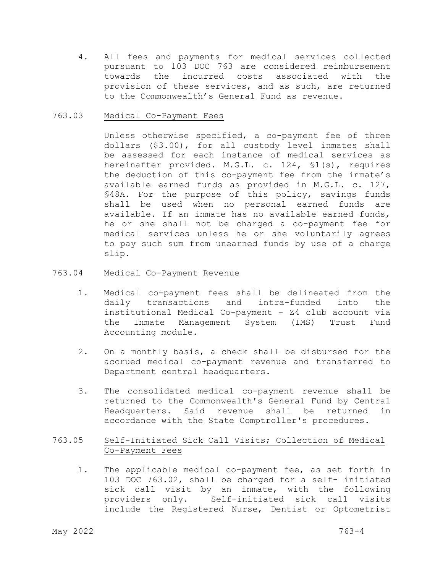4. All fees and payments for medical services collected pursuant to 103 DOC 763 are considered reimbursement towards the incurred costs associated with the provision of these services, and as such, are returned to the Commonwealth's General Fund as revenue.

### 763.03 Medical Co-Payment Fees

Unless otherwise specified, a co-payment fee of three dollars (\$3.00), for all custody level inmates shall be assessed for each instance of medical services as hereinafter provided. M.G.L. c. 124, §1(s), requires the deduction of this co-payment fee from the inmate's available earned funds as provided in M.G.L. c. 127, §48A. For the purpose of this policy, savings funds shall be used when no personal earned funds are available*.* If an inmate has no available earned funds, he or she shall not be charged a co-payment fee for medical services unless he or she voluntarily agrees to pay such sum from unearned funds by use of a charge slip.

## 763.04 Medical Co-Payment Revenue

- 1. Medical co-payment fees shall be delineated from the transactions and institutional Medical Co-payment – Z4 club account via the Inmate Management System (IMS) Trust Fund Accounting module.
- 2. On a monthly basis, a check shall be disbursed for the accrued medical co-payment revenue and transferred to Department central headquarters.
- 3. The consolidated medical co-payment revenue shall be returned to the Commonwealth's General Fund by Central Headquarters. Said revenue shall be returned in accordance with the State Comptroller's procedures.

## 763.05 Self-Initiated Sick Call Visits; Collection of Medical Co-Payment Fees

1. The applicable medical co-payment fee, as set forth in 103 DOC 763.02, shall be charged for a self- initiated sick call visit by an inmate, with the following<br>providers only. Self-initiated sick call visits Self-initiated sick call visits include the Registered Nurse, Dentist or Optometrist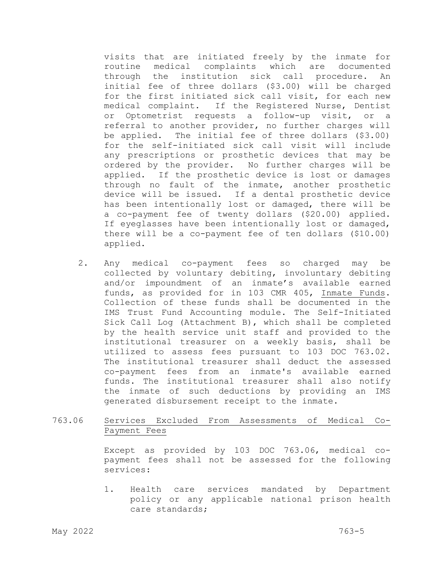visits that are initiated freely by the inmate for routine medical complaints which are documented through the institution sick call procedure. An initial fee of three dollars (\$3.00) will be charged for the first initiated sick call visit, for each new medical complaint. If the Registered Nurse, Dentist or Optometrist requests a follow-up visit, or a referral to another provider, no further charges will be applied. The initial fee of three dollars (\$3.00) for the self-initiated sick call visit will include any prescriptions or prosthetic devices that may be ordered by the provider. No further charges will be applied. If the prosthetic device is lost or damages through no fault of the inmate, another prosthetic device will be issued. If a dental prosthetic device has been intentionally lost or damaged, there will be a co-payment fee of twenty dollars (\$20.00) applied. If eyeglasses have been intentionally lost or damaged, there will be a co-payment fee of ten dollars (\$10.00) applied.

2. Any medical co-payment fees so charged may be collected by voluntary debiting, involuntary debiting and/or impoundment of an inmate's available earned funds, as provided for in 103 CMR 405, Inmate Funds. Collection of these funds shall be documented in the IMS Trust Fund Accounting module. The Self-Initiated Sick Call Log (Attachment B), which shall be completed by the health service unit staff and provided to the institutional treasurer on a weekly basis, shall be utilized to assess fees pursuant to 103 DOC 763.02. The institutional treasurer shall deduct the assessed co-payment fees from an inmate's available earned funds. The institutional treasurer shall also notify the inmate of such deductions by providing an IMS generated disbursement receipt to the inmate.

763.06 Services Excluded From Assessments of Medical Co-Payment Fees

> Except as provided by 103 DOC 763.06, medical copayment fees shall not be assessed for the following services:

> 1. Health care services mandated by Department policy or any applicable national prison health care standards;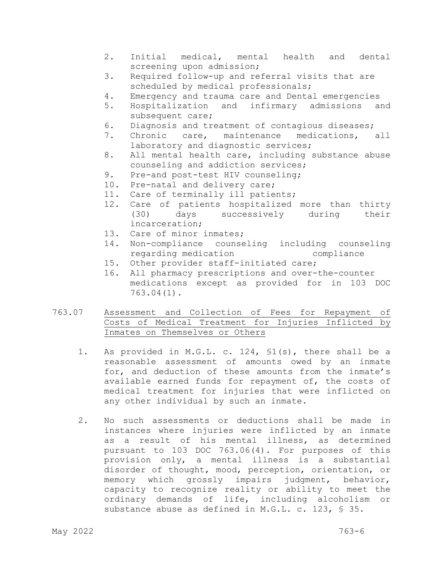- 2. Initial medical, mental health and dental screening upon admission;
- 3. Required follow-up and referral visits that are scheduled by medical professionals;<br>4. Emergency and trauma care and Denta
- 4. Emergency and trauma care and Dental emergencies<br>5. Hospitalization and infirmary admissions a
- 5. Hospitalization and infirmary admissions and subsequent care;<br>6. Diagnosis and tre
- 6. Diagnosis and treatment of contagious diseases;<br>7. Chronic care, maintenance medications,
- Chronic care, maintenance medications, all laboratory and diagnostic services;
- 8. All mental health care, including substance abuse counseling and addiction services;<br>9. Pre-and post-test HIV counseling;
- Pre-and post-test HIV counseling;
- 10. Pre-natal and delivery care;
- 11. Care of terminally ill patients;
- 12. Care of patients hospitalized more than thirty<br>(30) days successively during their successively during incarceration;
- 13. Care of minor inmates;
- 14. Non-compliance counseling including counseling regarding medication compliance
- 15. Other provider staff-initiated care;
- 16. All pharmacy prescriptions and over-the-counter medications except as provided for in 103 DOC 763.04(1).
- 763.07 Assessment and Collection of Fees for Repayment of Costs of Medical Treatment for Injuries Inflicted by Inmates on Themselves or Others
	- 1. As provided in M.G.L. c. 124, §1(s), there shall be a reasonable assessment of amounts owed by an inmate for, and deduction of these amounts from the inmate's available earned funds for repayment of, the costs of medical treatment for injuries that were inflicted on any other individual by such an inmate.
	- 2. No such assessments or deductions shall be made in instances where injuries were inflicted by an inmate as a result of his mental illness, as determined pursuant to 103 DOC 763.06(4). For purposes of this provision only, a mental illness is a substantial disorder of thought, mood, perception, orientation, or memory which grossly impairs judgment, behavior, capacity to recognize reality or ability to meet the ordinary demands of life, including alcoholism or substance abuse as defined in M.G.L. c. 123, § 35.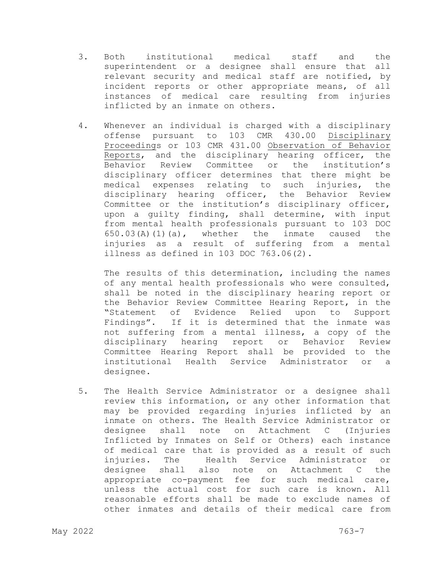- 3. Both institutional medical staff and the superintendent or a designee shall ensure that all relevant security and medical staff are notified, by incident reports or other appropriate means, of all instances of medical care resulting from injuries inflicted by an inmate on others.
- 4. Whenever an individual is charged with a disciplinary offense pursuant to 103 CMR 430.00 Disciplinary Proceedings or 103 CMR 431.00 Observation of Behavior Reports, and the disciplinary hearing officer, the Behavior Review Committee or the institution's disciplinary officer determines that there might be medical expenses relating to such injuries, the disciplinary hearing officer, the Behavior Review Committee or the institution's disciplinary officer, upon a guilty finding, shall determine, with input from mental health professionals pursuant to 103 DOC  $650.03(A)(1)(a)$ , whether the inmate caused the injuries as a result of suffering from a mental illness as defined in 103 DOC 763.06(2).

The results of this determination, including the names of any mental health professionals who were consulted, shall be noted in the disciplinary hearing report or the Behavior Review Committee Hearing Report, in the<br>"Statement of Evidence Relied upon to Support Evidence Relied upon to Support Findings". If it is determined that the inmate was not suffering from a mental illness, a copy of the disciplinary hearing report or Behavior Review Committee Hearing Report shall be provided to the institutional Health Service Administrator or a designee.

5. The Health Service Administrator or a designee shall review this information, or any other information that may be provided regarding injuries inflicted by an inmate on others. The Health Service Administrator or designee shall note on Attachment C (Injuries Inflicted by Inmates on Self or Others) each instance of medical care that is provided as a result of such injuries. The Health Service Administrator or designee shall also note on Attachment C the appropriate co-payment fee for such medical care, unless the actual cost for such care is known. All reasonable efforts shall be made to exclude names of other inmates and details of their medical care from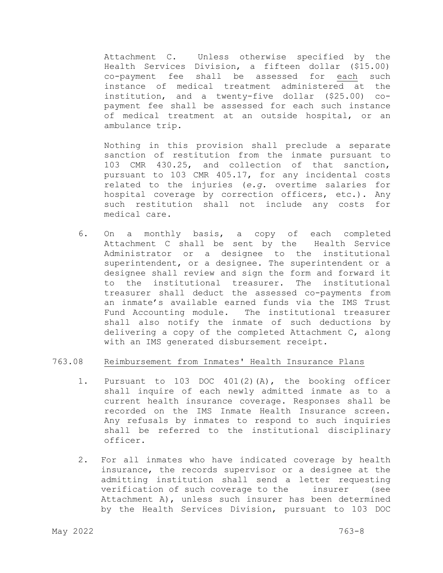Attachment C. Unless otherwise specified by the Health Services Division, a fifteen dollar (\$15.00) co-payment fee shall be assessed for each such instance of medical treatment administered at the institution, and a twenty-five dollar (\$25.00) copayment fee shall be assessed for each such instance of medical treatment at an outside hospital, or an ambulance trip.

Nothing in this provision shall preclude a separate sanction of restitution from the inmate pursuant to 103 CMR 430.25, and collection of that sanction, pursuant to 103 CMR 405.17, for any incidental costs related to the injuries (*e.g.* overtime salaries for hospital coverage by correction officers, etc.). Any such restitution shall not include any costs for medical care.

6. On a monthly basis, a copy of each completed Attachment C shall be sent by the Health Service Administrator or a designee to the institutional superintendent, or a designee. The superintendent or a designee shall review and sign the form and forward it<br>to the institutional treasurer. The institutional to the institutional treasurer. treasurer shall deduct the assessed co-payments from an inmate's available earned funds via the IMS Trust Fund Accounting module. The institutional treasurer shall also notify the inmate of such deductions by delivering a copy of the completed Attachment C, along with an IMS generated disbursement receipt.

#### 763.08 Reimbursement from Inmates' Health Insurance Plans

- 1. Pursuant to 103 DOC 401(2)(A), the booking officer shall inquire of each newly admitted inmate as to a current health insurance coverage. Responses shall be recorded on the IMS Inmate Health Insurance screen. Any refusals by inmates to respond to such inquiries shall be referred to the institutional disciplinary officer.
- 2. For all inmates who have indicated coverage by health insurance, the records supervisor or a designee at the admitting institution shall send a letter requesting<br>verification of such coverage to the insurer (see verification of such coverage to the insurer Attachment A), unless such insurer has been determined by the Health Services Division, pursuant to 103 DOC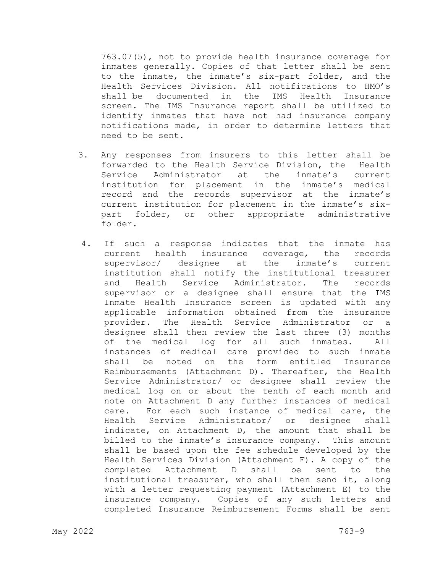763.07(5), not to provide health insurance coverage for inmates generally. Copies of that letter shall be sent to the inmate, the inmate's six-part folder, and the Health Services Division. All notifications to HMO's shall be documented in the IMS screen. The IMS Insurance report shall be utilized to identify inmates that have not had insurance company notifications made, in order to determine letters that need to be sent.

- 3. Any responses from insurers to this letter shall be forwarded to the Health Service Division, the Health<br>Service Administrator at the inmate's current Service Administrator at institution for placement in the inmate's medical record and the records supervisor at the inmate's current institution for placement in the inmate's sixpart folder, or other appropriate administrative folder.
- 4. If such a response indicates that the inmate has current health insurance coverage, the records<br>supervisor/ designee at the inmate's current supervisor/ designee at the inmate's current institution shall notify the institutional treasurer<br>and Health Service Administrator. The records and Health Service Administrator. The records supervisor or a designee shall ensure that the IMS Inmate Health Insurance screen is updated with any applicable information obtained from the insurance provider. The Health Service Administrator or a designee shall then review the last three (3) months<br>of the medical log for all such inmates. All of the medical log for all such inmates. instances of medical care provided to such inmate on the form entitled Reimbursements (Attachment D). Thereafter, the Health Service Administrator/ or designee shall review the medical log on or about the tenth of each month and note on Attachment D any further instances of medical care. For each such instance of medical care, the Health Service Administrator/ or designee shall indicate, on Attachment D, the amount that shall be billed to the inmate's insurance company. This amount shall be based upon the fee schedule developed by the Health Services Division (Attachment F). A copy of the completed Attachment D shall be sent to the institutional treasurer, who shall then send it, along with a letter requesting payment (Attachment E) to the insurance company. Copies of any such letters and completed Insurance Reimbursement Forms shall be sent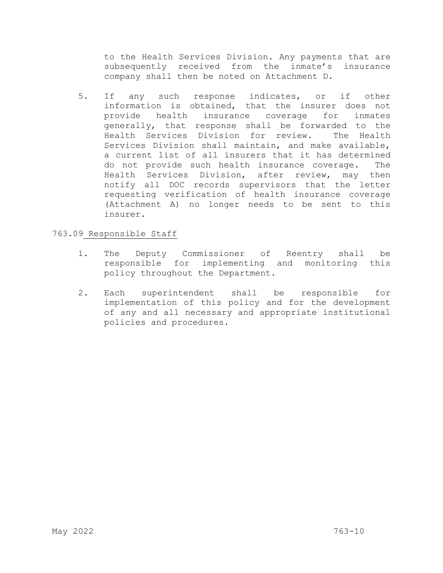to the Health Services Division. Any payments that are subsequently received from the inmate's insurance company shall then be noted on Attachment D.

 5. If any such response indicates, or if other information is obtained, that the insurer does not<br>provide health insurance coverage for inmates provide health insurance coverage generally, that response shall be forwarded to the Health Services Division for review. The Health Services Division shall maintain, and make available, a current list of all insurers that it has determined do not provide such health insurance coverage. The Health Services Division, after review, may then notify all DOC records supervisors that the letter requesting verification of health insurance coverage (Attachment A) no longer needs to be sent to this insurer.

## 763.09 Responsible Staff

- 1. The Deputy Commissioner of Reentry shall be responsible for implementing and monitoring this policy throughout the Department.
- 2. Each superintendent shall be responsible for implementation of this policy and for the development of any and all necessary and appropriate institutional policies and procedures.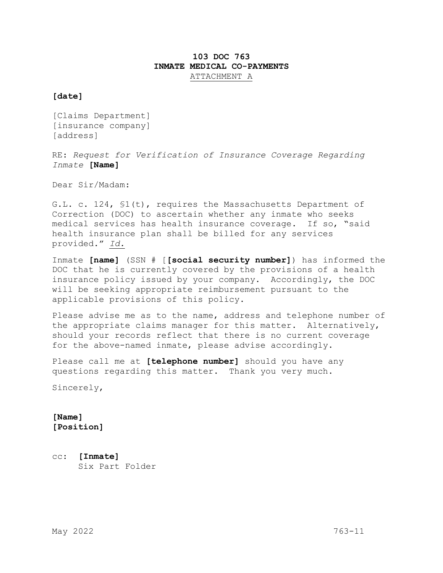# **103 DOC 763 INMATE MEDICAL CO-PAYMENTS**  ATTACHMENT A

### **[date]**

[Claims Department] [insurance company] [address]

RE: *Request for Verification of Insurance Coverage Regarding Inmate* **[Name]**

Dear Sir/Madam:

G.L. c. 124, §1(t), requires the Massachusetts Department of Correction (DOC) to ascertain whether any inmate who seeks medical services has health insurance coverage. If so, "said health insurance plan shall be billed for any services provided." *Id.*

Inmate **[name]** (SSN # [**[social security number]**) has informed the DOC that he is currently covered by the provisions of a health insurance policy issued by your company. Accordingly, the DOC will be seeking appropriate reimbursement pursuant to the applicable provisions of this policy.

Please advise me as to the name, address and telephone number of the appropriate claims manager for this matter. Alternatively, should your records reflect that there is no current coverage for the above-named inmate, please advise accordingly.

Please call me at **[telephone number]** should you have any questions regarding this matter. Thank you very much.

Sincerely,

**[Name] [Position]** 

cc: **[Inmate]** Six Part Folder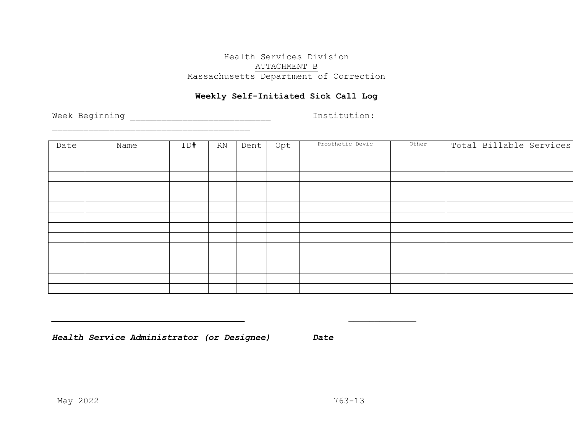# Health Services Division ATTACHMENT B Massachusetts Department of Correction

# **Weekly Self-Initiated Sick Call Log**

Week Beginning \_\_\_\_\_\_\_\_\_\_\_\_\_\_\_\_\_\_\_\_\_\_\_\_\_\_\_ Institution:

| Date | Name | ID# | RN | Dent | Opt | Prosthetic Devic | Other | Total Billable Services |
|------|------|-----|----|------|-----|------------------|-------|-------------------------|
|      |      |     |    |      |     |                  |       |                         |
|      |      |     |    |      |     |                  |       |                         |
|      |      |     |    |      |     |                  |       |                         |
|      |      |     |    |      |     |                  |       |                         |
|      |      |     |    |      |     |                  |       |                         |
|      |      |     |    |      |     |                  |       |                         |
|      |      |     |    |      |     |                  |       |                         |
|      |      |     |    |      |     |                  |       |                         |
|      |      |     |    |      |     |                  |       |                         |
|      |      |     |    |      |     |                  |       |                         |
|      |      |     |    |      |     |                  |       |                         |
|      |      |     |    |      |     |                  |       |                         |
|      |      |     |    |      |     |                  |       |                         |
|      |      |     |    |      |     |                  |       |                         |

*Health Service Administrator (or Designee) Date* 

\_\_\_\_\_\_\_\_\_\_\_\_\_\_\_\_\_\_\_\_\_\_\_\_\_\_\_\_\_\_\_\_\_\_\_\_\_\_

*\_\_\_\_\_\_\_\_\_\_\_\_\_\_\_\_\_\_\_\_\_\_\_\_\_\_\_\_\_\_\_\_\_\_\_\_\_ \_\_\_\_\_\_\_\_\_\_\_\_\_*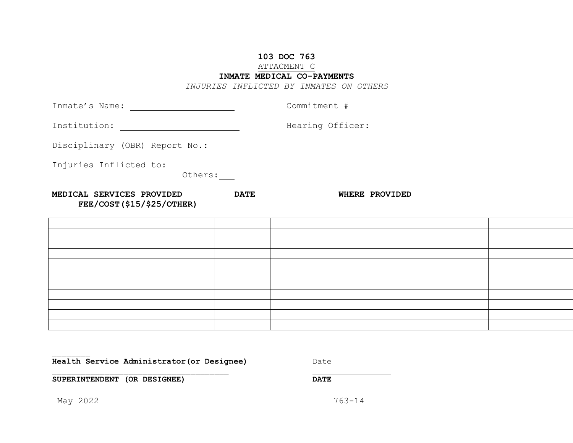## **103 DOC 763**

### ATTACMENT C

### **INMATE MEDICAL CO-PAYMENTS**

*INJURIES INFLICTED BY INMATES ON OTHERS* 

| Inmate's Name:                                                |             | Commitment #     |
|---------------------------------------------------------------|-------------|------------------|
| Institution:                                                  |             | Hearing Officer: |
| Disciplinary (OBR) Report No.:                                |             |                  |
| Injuries Inflicted to:<br>Others:                             |             |                  |
| MEDICAL SERVICES PROVIDED<br><b>FEE/COST(\$15/\$25/OTHER)</b> | <b>DATE</b> | WHERE PROVIDED   |
|                                                               |             |                  |
|                                                               |             |                  |
|                                                               |             |                  |
|                                                               |             |                  |
|                                                               |             |                  |

**Health Service Administrator(or Designee)** Date

\_\_\_\_\_\_\_\_\_\_\_\_\_\_\_\_\_\_\_\_\_\_\_\_\_\_\_\_\_\_\_\_\_\_\_\_\_

**SUPERINTENDENT (OR DESIGNEE) DATE**

May 2022 763-14

\_\_\_\_\_\_\_\_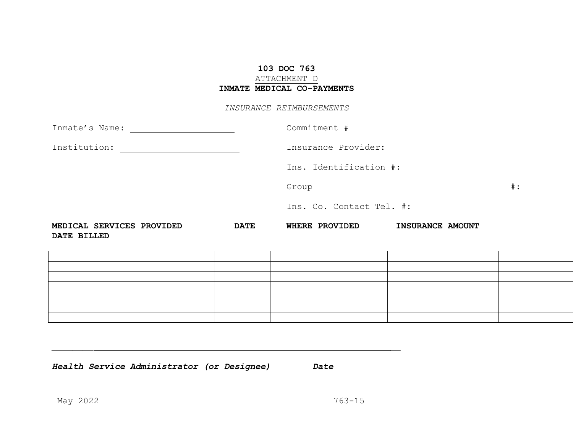# **103 DOC 763** ATTACHMENT D **INMATE MEDICAL CO-PAYMENTS**

#### *INSURANCE REIMBURSEMENTS*

| Inmate's Name: [19]                                                                                                                  |             | Commitment #             |                        |       |  |
|--------------------------------------------------------------------------------------------------------------------------------------|-------------|--------------------------|------------------------|-------|--|
| Institution:<br><u> 1980 - Jan Stein Stein Stein Stein Stein Stein Stein Stein Stein Stein Stein Stein Stein Stein Stein Stein S</u> |             | Insurance Provider:      |                        |       |  |
|                                                                                                                                      |             |                          | Ins. Identification #: |       |  |
|                                                                                                                                      |             | Group                    |                        | $#$ : |  |
|                                                                                                                                      |             | Ins. Co. Contact Tel. #: |                        |       |  |
| MEDICAL SERVICES PROVIDED<br>DATE BILLED                                                                                             | <b>DATE</b> | <b>WHERE PROVIDED</b>    | INSURANCE AMOUNT       |       |  |
|                                                                                                                                      |             |                          |                        |       |  |
|                                                                                                                                      |             |                          |                        |       |  |
|                                                                                                                                      |             |                          |                        |       |  |
|                                                                                                                                      |             |                          |                        |       |  |
|                                                                                                                                      |             |                          |                        |       |  |
|                                                                                                                                      |             |                          |                        |       |  |

*Health Service Administrator (or Designee) Date* 

*\_\_\_\_\_\_\_\_ \_\_*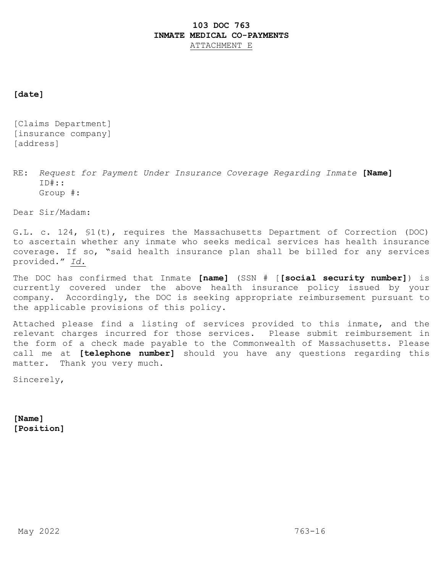## **103 DOC 763 INMATE MEDICAL CO-PAYMENTS**  ATTACHMENT E

### **[date]**

[Claims Department] [insurance company] [address]

RE: *Request for Payment Under Insurance Coverage Regarding Inmate* **[Name]** ID#:: Group #:

Dear Sir/Madam:

G.L. c. 124, §1(t), requires the Massachusetts Department of Correction (DOC) to ascertain whether any inmate who seeks medical services has health insurance coverage. If so, "said health insurance plan shall be billed for any services provided." *Id.*

The DOC has confirmed that Inmate **[name]** (SSN # [**[social security number]**) is currently covered under the above health insurance policy issued by your company. Accordingly, the DOC is seeking appropriate reimbursement pursuant to the applicable provisions of this policy.

Attached please find a listing of services provided to this inmate, and the relevant charges incurred for those services. Please submit reimbursement in the form of a check made payable to the Commonwealth of Massachusetts. Please call me at **[telephone number]** should you have any questions regarding this matter. Thank you very much.

Sincerely,

**[Name] [Position]**